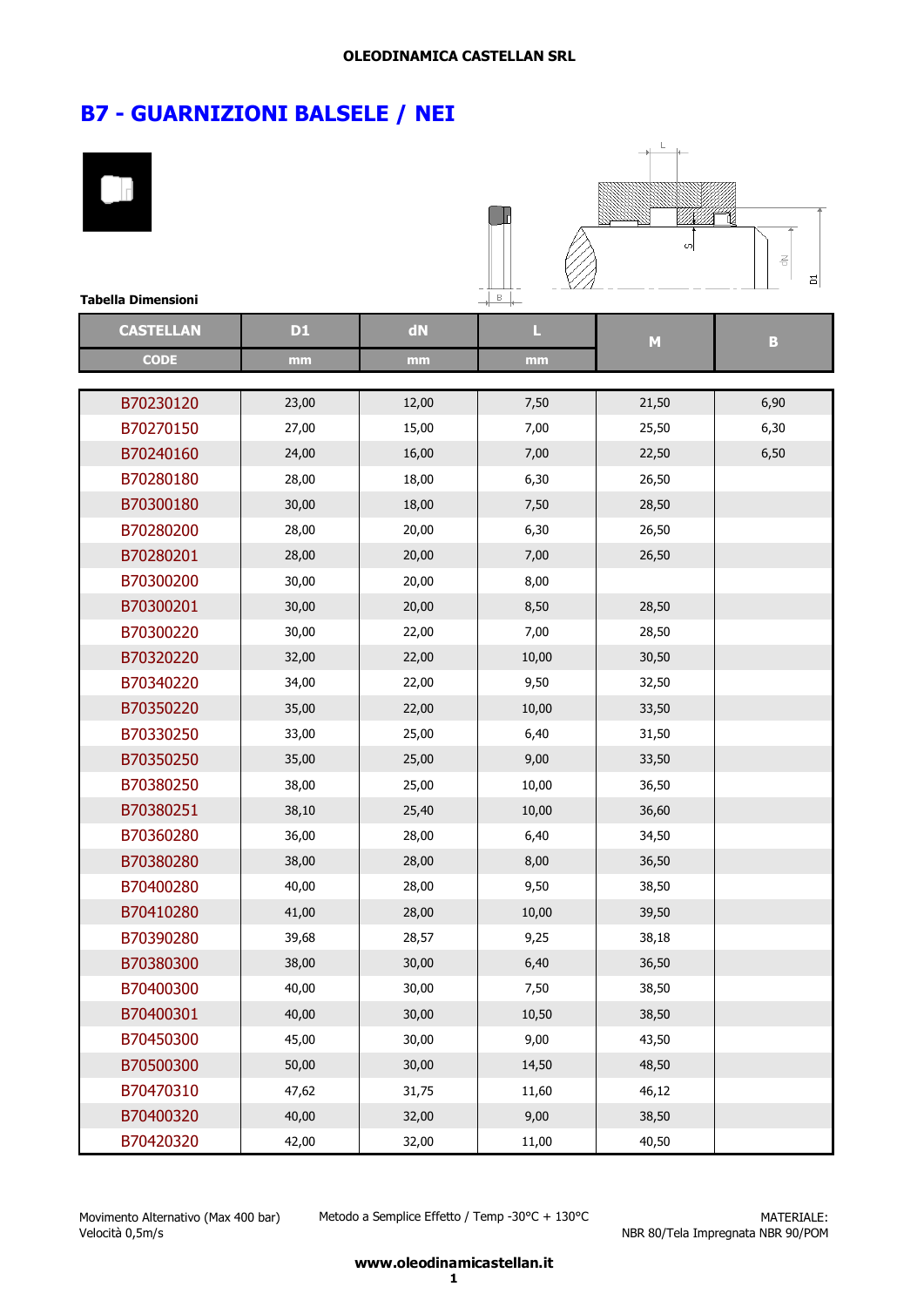



| <b>Tabella Dimensioni</b> |           |       | $\overline{B}$ |       |                         |
|---------------------------|-----------|-------|----------------|-------|-------------------------|
| <b>CASTELLAN</b>          | <b>D1</b> | dN    | L              | M     | $\overline{\mathbf{B}}$ |
| <b>CODE</b>               | mm        | mm    | mm             |       |                         |
|                           |           |       |                |       |                         |
| B70230120                 | 23,00     | 12,00 | 7,50           | 21,50 | 6,90                    |
| B70270150                 | 27,00     | 15,00 | 7,00           | 25,50 | 6,30                    |
| B70240160                 | 24,00     | 16,00 | 7,00           | 22,50 | 6,50                    |
| B70280180                 | 28,00     | 18,00 | 6,30           | 26,50 |                         |
| B70300180                 | 30,00     | 18,00 | 7,50           | 28,50 |                         |
| B70280200                 | 28,00     | 20,00 | 6,30           | 26,50 |                         |
| B70280201                 | 28,00     | 20,00 | 7,00           | 26,50 |                         |
| B70300200                 | 30,00     | 20,00 | 8,00           |       |                         |
| B70300201                 | 30,00     | 20,00 | 8,50           | 28,50 |                         |
| B70300220                 | 30,00     | 22,00 | 7,00           | 28,50 |                         |
| B70320220                 | 32,00     | 22,00 | 10,00          | 30,50 |                         |
| B70340220                 | 34,00     | 22,00 | 9,50           | 32,50 |                         |
| B70350220                 | 35,00     | 22,00 | 10,00          | 33,50 |                         |
| B70330250                 | 33,00     | 25,00 | 6,40           | 31,50 |                         |
| B70350250                 | 35,00     | 25,00 | 9,00           | 33,50 |                         |
| B70380250                 | 38,00     | 25,00 | 10,00          | 36,50 |                         |
| B70380251                 | 38,10     | 25,40 | 10,00          | 36,60 |                         |
| B70360280                 | 36,00     | 28,00 | 6,40           | 34,50 |                         |
| B70380280                 | 38,00     | 28,00 | 8,00           | 36,50 |                         |
| B70400280                 | 40,00     | 28,00 | 9,50           | 38,50 |                         |
| B70410280                 | 41,00     | 28,00 | 10,00          | 39,50 |                         |
| B70390280                 | 39,68     | 28,57 | 9,25           | 38,18 |                         |
| B70380300                 | 38,00     | 30,00 | 6,40           | 36,50 |                         |
| B70400300                 | 40,00     | 30,00 | 7,50           | 38,50 |                         |
| B70400301                 | 40,00     | 30,00 | 10,50          | 38,50 |                         |
| B70450300                 | 45,00     | 30,00 | 9,00           | 43,50 |                         |
| B70500300                 | 50,00     | 30,00 | 14,50          | 48,50 |                         |
| B70470310                 | 47,62     | 31,75 | 11,60          | 46,12 |                         |
| B70400320                 | 40,00     | 32,00 | 9,00           | 38,50 |                         |
| B70420320                 | 42,00     | 32,00 | 11,00          | 40,50 |                         |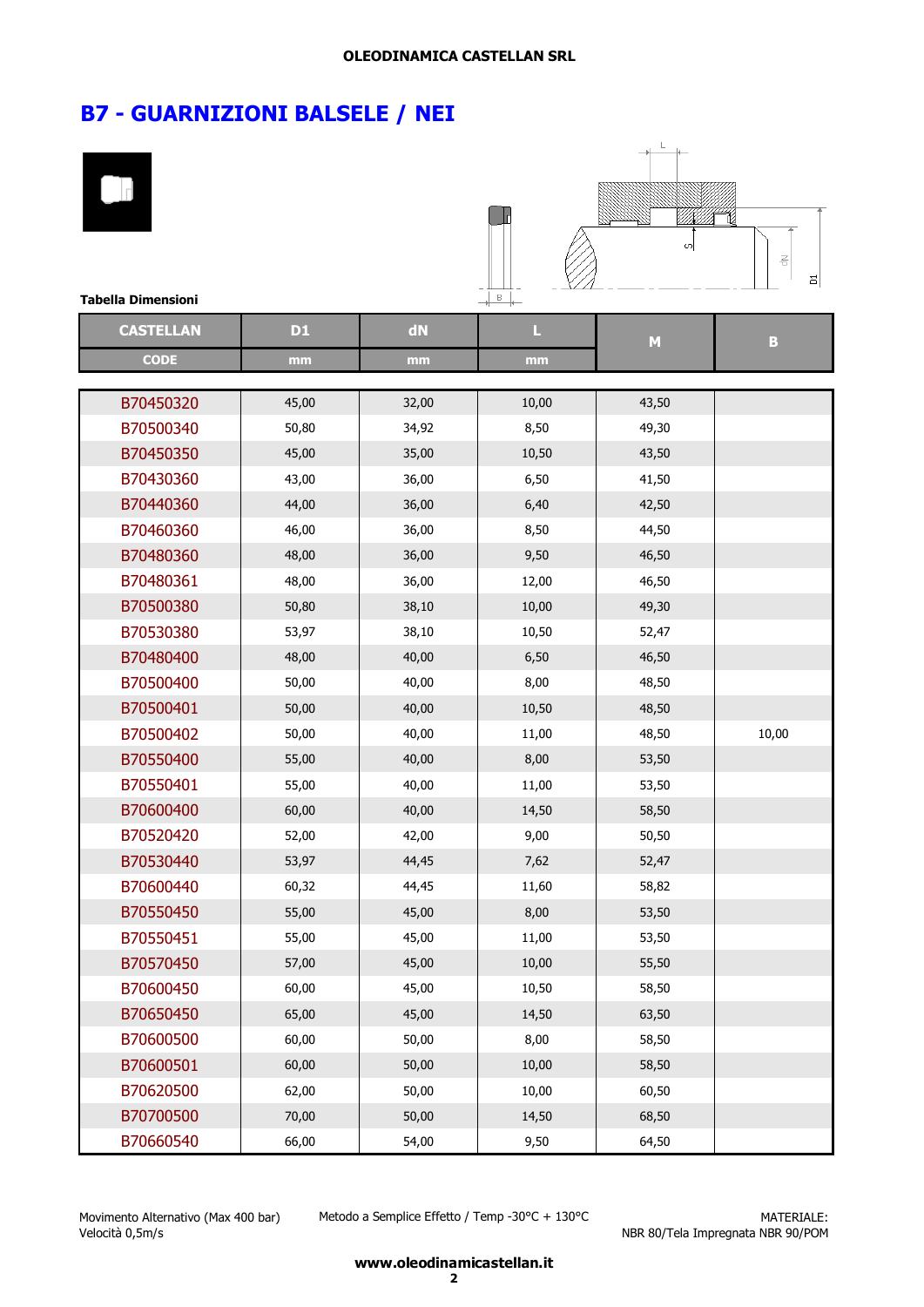



| <b>Tabella Dimensioni</b> |           |       | $\rightarrow$ |       |                         |
|---------------------------|-----------|-------|---------------|-------|-------------------------|
| <b>CASTELLAN</b>          | <b>D1</b> | dN    | L             | M     | $\overline{\mathbf{B}}$ |
| <b>CODE</b>               | mm        | mm    | mm            |       |                         |
|                           |           |       |               |       |                         |
| B70450320                 | 45,00     | 32,00 | 10,00         | 43,50 |                         |
| B70500340                 | 50,80     | 34,92 | 8,50          | 49,30 |                         |
| B70450350                 | 45,00     | 35,00 | 10,50         | 43,50 |                         |
| B70430360                 | 43,00     | 36,00 | 6,50          | 41,50 |                         |
| B70440360                 | 44,00     | 36,00 | 6,40          | 42,50 |                         |
| B70460360                 | 46,00     | 36,00 | 8,50          | 44,50 |                         |
| B70480360                 | 48,00     | 36,00 | 9,50          | 46,50 |                         |
| B70480361                 | 48,00     | 36,00 | 12,00         | 46,50 |                         |
| B70500380                 | 50,80     | 38,10 | 10,00         | 49,30 |                         |
| B70530380                 | 53,97     | 38,10 | 10,50         | 52,47 |                         |
| B70480400                 | 48,00     | 40,00 | 6,50          | 46,50 |                         |
| B70500400                 | 50,00     | 40,00 | 8,00          | 48,50 |                         |
| B70500401                 | 50,00     | 40,00 | 10,50         | 48,50 |                         |
| B70500402                 | 50,00     | 40,00 | 11,00         | 48,50 | 10,00                   |
| B70550400                 | 55,00     | 40,00 | 8,00          | 53,50 |                         |
| B70550401                 | 55,00     | 40,00 | 11,00         | 53,50 |                         |
| B70600400                 | 60,00     | 40,00 | 14,50         | 58,50 |                         |
| B70520420                 | 52,00     | 42,00 | 9,00          | 50,50 |                         |
| B70530440                 | 53,97     | 44,45 | 7,62          | 52,47 |                         |
| B70600440                 | 60,32     | 44,45 | 11,60         | 58,82 |                         |
| B70550450                 | 55,00     | 45,00 | 8,00          | 53,50 |                         |
| B70550451                 | 55,00     | 45,00 | 11,00         | 53,50 |                         |
| B70570450                 | 57,00     | 45,00 | 10,00         | 55,50 |                         |
| B70600450                 | 60,00     | 45,00 | 10,50         | 58,50 |                         |
| B70650450                 | 65,00     | 45,00 | 14,50         | 63,50 |                         |
| B70600500                 | 60,00     | 50,00 | 8,00          | 58,50 |                         |
| B70600501                 | 60,00     | 50,00 | 10,00         | 58,50 |                         |
| B70620500                 | 62,00     | 50,00 | 10,00         | 60,50 |                         |
| B70700500                 | 70,00     | 50,00 | 14,50         | 68,50 |                         |
| B70660540                 | 66,00     | 54,00 | 9,50          | 64,50 |                         |

Movimento Alternativo (Max 400 bar) Velocità 0,5m/s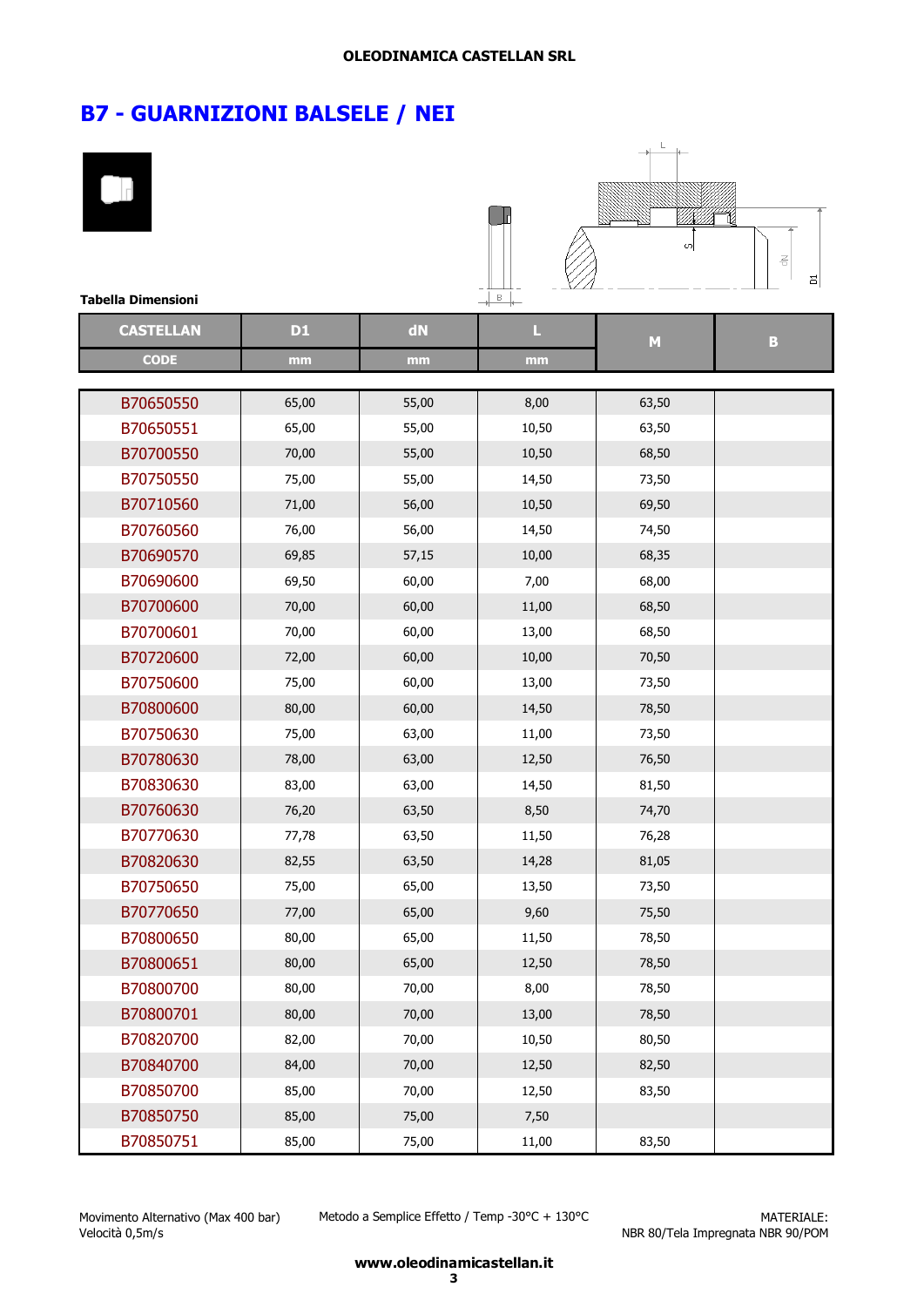



| <b>Tabella Dimensioni</b> |           |       | $\rightarrow$ |       |                         |
|---------------------------|-----------|-------|---------------|-------|-------------------------|
| <b>CASTELLAN</b>          | <b>D1</b> | dN    | L             | M     | $\overline{\mathbf{B}}$ |
| <b>CODE</b>               | mm        | mm    | mm            |       |                         |
|                           |           |       |               |       |                         |
| B70650550                 | 65,00     | 55,00 | 8,00          | 63,50 |                         |
| B70650551                 | 65,00     | 55,00 | 10,50         | 63,50 |                         |
| B70700550                 | 70,00     | 55,00 | 10,50         | 68,50 |                         |
| B70750550                 | 75,00     | 55,00 | 14,50         | 73,50 |                         |
| B70710560                 | 71,00     | 56,00 | 10,50         | 69,50 |                         |
| B70760560                 | 76,00     | 56,00 | 14,50         | 74,50 |                         |
| B70690570                 | 69,85     | 57,15 | 10,00         | 68,35 |                         |
| B70690600                 | 69,50     | 60,00 | 7,00          | 68,00 |                         |
| B70700600                 | 70,00     | 60,00 | 11,00         | 68,50 |                         |
| B70700601                 | 70,00     | 60,00 | 13,00         | 68,50 |                         |
| B70720600                 | 72,00     | 60,00 | 10,00         | 70,50 |                         |
| B70750600                 | 75,00     | 60,00 | 13,00         | 73,50 |                         |
| B70800600                 | 80,00     | 60,00 | 14,50         | 78,50 |                         |
| B70750630                 | 75,00     | 63,00 | 11,00         | 73,50 |                         |
| B70780630                 | 78,00     | 63,00 | 12,50         | 76,50 |                         |
| B70830630                 | 83,00     | 63,00 | 14,50         | 81,50 |                         |
| B70760630                 | 76,20     | 63,50 | 8,50          | 74,70 |                         |
| B70770630                 | 77,78     | 63,50 | 11,50         | 76,28 |                         |
| B70820630                 | 82,55     | 63,50 | 14,28         | 81,05 |                         |
| B70750650                 | 75,00     | 65,00 | 13,50         | 73,50 |                         |
| B70770650                 | 77,00     | 65,00 | 9,60          | 75,50 |                         |
| B70800650                 | 80,00     | 65,00 | 11,50         | 78,50 |                         |
| B70800651                 | 80,00     | 65,00 | 12,50         | 78,50 |                         |
| B70800700                 | 80,00     | 70,00 | 8,00          | 78,50 |                         |
| B70800701                 | 80,00     | 70,00 | 13,00         | 78,50 |                         |
| B70820700                 | 82,00     | 70,00 | 10,50         | 80,50 |                         |
| B70840700                 | 84,00     | 70,00 | 12,50         | 82,50 |                         |
| B70850700                 | 85,00     | 70,00 | 12,50         | 83,50 |                         |
| B70850750                 | 85,00     | 75,00 | 7,50          |       |                         |
| B70850751                 | 85,00     | 75,00 | 11,00         | 83,50 |                         |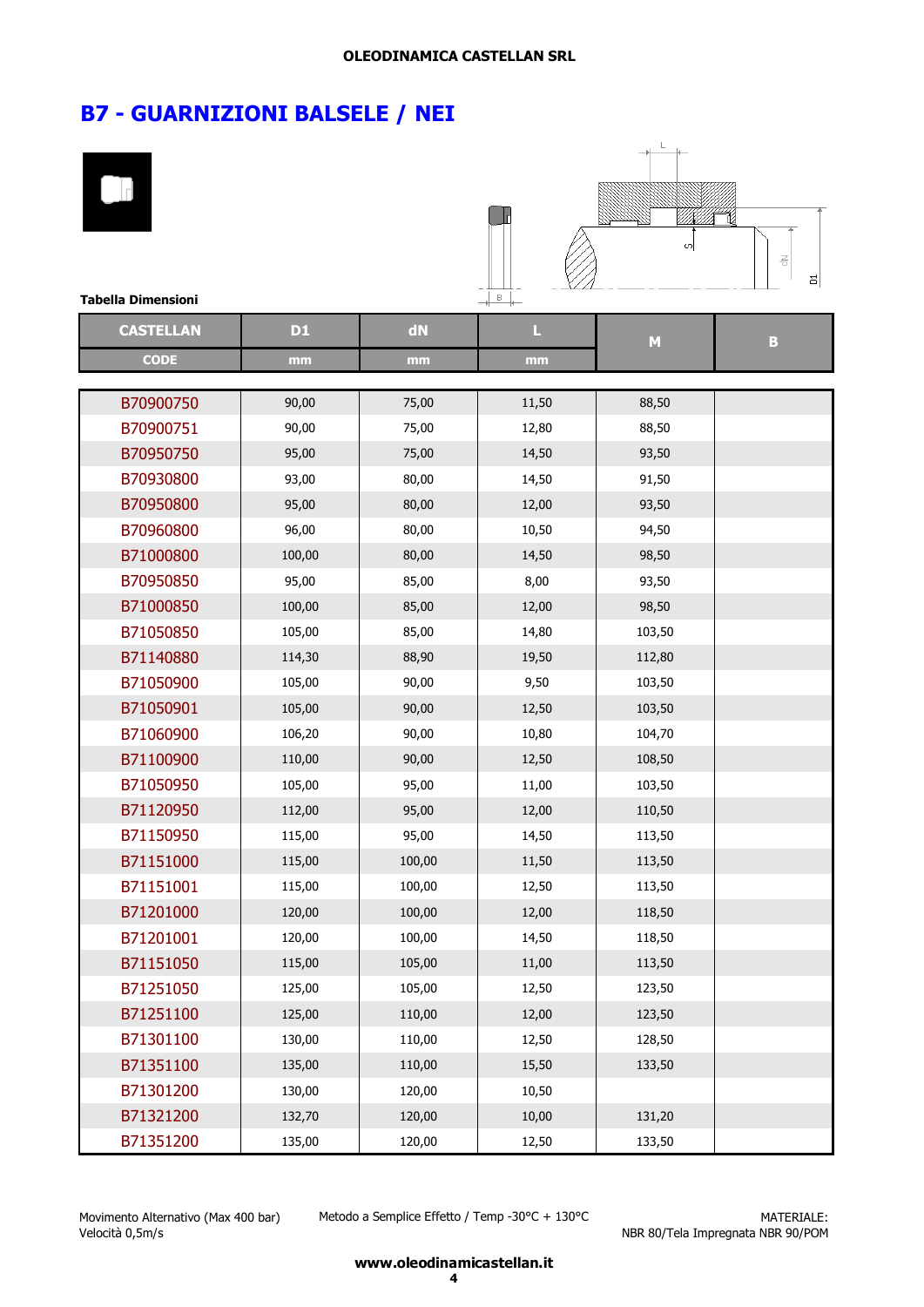



| <b>Tabella Dimensioni</b> |           |        | $B \downarrow$ |           |                         |
|---------------------------|-----------|--------|----------------|-----------|-------------------------|
| <b>CASTELLAN</b>          | <b>D1</b> | dN     | Ц              | ${\bf M}$ | $\overline{\mathbf{B}}$ |
| <b>CODE</b>               | mm        | mm     | mm             |           |                         |
|                           |           |        |                |           |                         |
| B70900750                 | 90,00     | 75,00  | 11,50          | 88,50     |                         |
| B70900751                 | 90,00     | 75,00  | 12,80          | 88,50     |                         |
| B70950750                 | 95,00     | 75,00  | 14,50          | 93,50     |                         |
| B70930800                 | 93,00     | 80,00  | 14,50          | 91,50     |                         |
| B70950800                 | 95,00     | 80,00  | 12,00          | 93,50     |                         |
| B70960800                 | 96,00     | 80,00  | 10,50          | 94,50     |                         |
| B71000800                 | 100,00    | 80,00  | 14,50          | 98,50     |                         |
| B70950850                 | 95,00     | 85,00  | 8,00           | 93,50     |                         |
| B71000850                 | 100,00    | 85,00  | 12,00          | 98,50     |                         |
| B71050850                 | 105,00    | 85,00  | 14,80          | 103,50    |                         |
| B71140880                 | 114,30    | 88,90  | 19,50          | 112,80    |                         |
| B71050900                 | 105,00    | 90,00  | 9,50           | 103,50    |                         |
| B71050901                 | 105,00    | 90,00  | 12,50          | 103,50    |                         |
| B71060900                 | 106,20    | 90,00  | 10,80          | 104,70    |                         |
| B71100900                 | 110,00    | 90,00  | 12,50          | 108,50    |                         |
| B71050950                 | 105,00    | 95,00  | 11,00          | 103,50    |                         |
| B71120950                 | 112,00    | 95,00  | 12,00          | 110,50    |                         |
| B71150950                 | 115,00    | 95,00  | 14,50          | 113,50    |                         |
| B71151000                 | 115,00    | 100,00 | 11,50          | 113,50    |                         |
| B71151001                 | 115,00    | 100,00 | 12,50          | 113,50    |                         |
| B71201000                 | 120,00    | 100,00 | 12,00          | 118,50    |                         |
| B71201001                 | 120,00    | 100,00 | 14,50          | 118,50    |                         |
| B71151050                 | 115,00    | 105,00 | 11,00          | 113,50    |                         |
| B71251050                 | 125,00    | 105,00 | 12,50          | 123,50    |                         |
| B71251100                 | 125,00    | 110,00 | 12,00          | 123,50    |                         |
| B71301100                 | 130,00    | 110,00 | 12,50          | 128,50    |                         |
| B71351100                 | 135,00    | 110,00 | 15,50          | 133,50    |                         |
| B71301200                 | 130,00    | 120,00 | 10,50          |           |                         |
| B71321200                 | 132,70    | 120,00 | 10,00          | 131,20    |                         |
| B71351200                 | 135,00    | 120,00 | 12,50          | 133,50    |                         |